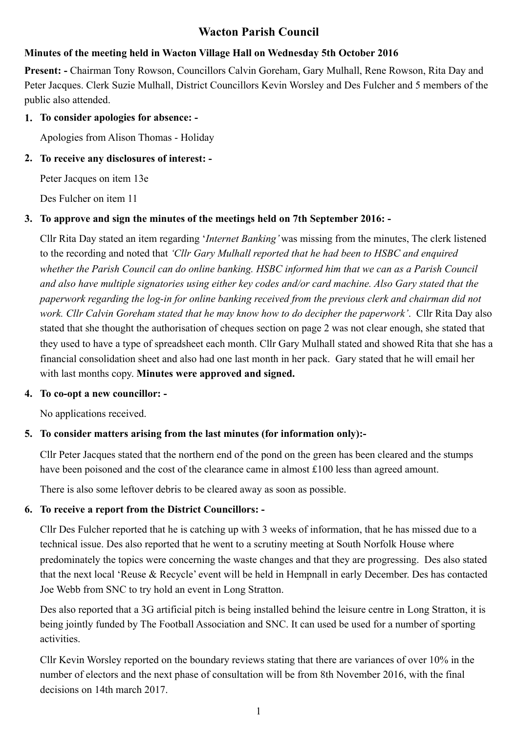# **Wacton Parish Council**

## **Minutes of the meeting held in Wacton Village Hall on Wednesday 5th October 2016**

**Present: -** Chairman Tony Rowson, Councillors Calvin Goreham, Gary Mulhall, Rene Rowson, Rita Day and Peter Jacques. Clerk Suzie Mulhall, District Councillors Kevin Worsley and Des Fulcher and 5 members of the public also attended.

### **1. To consider apologies for absence: -**

Apologies from Alison Thomas - Holiday

#### **2. To receive any disclosures of interest: -**

Peter Jacques on item 13e

Des Fulcher on item 11

#### **3. To approve and sign the minutes of the meetings held on 7th September 2016: -**

Cllr Rita Day stated an item regarding '*Internet Banking'* was missing from the minutes, The clerk listened to the recording and noted that *'Cllr Gary Mulhall reported that he had been to HSBC and enquired whether the Parish Council can do online banking. HSBC informed him that we can as a Parish Council and also have multiple signatories using either key codes and/or card machine. Also Gary stated that the paperwork regarding the log-in for online banking received from the previous clerk and chairman did not work. Cllr Calvin Goreham stated that he may know how to do decipher the paperwork'*. Cllr Rita Day also stated that she thought the authorisation of cheques section on page 2 was not clear enough, she stated that they used to have a type of spreadsheet each month. Cllr Gary Mulhall stated and showed Rita that she has a financial consolidation sheet and also had one last month in her pack. Gary stated that he will email her with last months copy. **Minutes were approved and signed.** 

#### **4. To co-opt a new councillor: -**

No applications received.

### **5. To consider matters arising from the last minutes (for information only):-**

Cllr Peter Jacques stated that the northern end of the pond on the green has been cleared and the stumps have been poisoned and the cost of the clearance came in almost £100 less than agreed amount.

There is also some leftover debris to be cleared away as soon as possible.

### **6. To receive a report from the District Councillors: -**

Cllr Des Fulcher reported that he is catching up with 3 weeks of information, that he has missed due to a technical issue. Des also reported that he went to a scrutiny meeting at South Norfolk House where predominately the topics were concerning the waste changes and that they are progressing. Des also stated that the next local 'Reuse & Recycle' event will be held in Hempnall in early December. Des has contacted Joe Webb from SNC to try hold an event in Long Stratton.

 Des also reported that a 3G artificial pitch is being installed behind the leisure centre in Long Stratton, it is being jointly funded by The Football Association and SNC. It can used be used for a number of sporting activities.

 Cllr Kevin Worsley reported on the boundary reviews stating that there are variances of over 10% in the number of electors and the next phase of consultation will be from 8th November 2016, with the final decisions on 14th march 2017.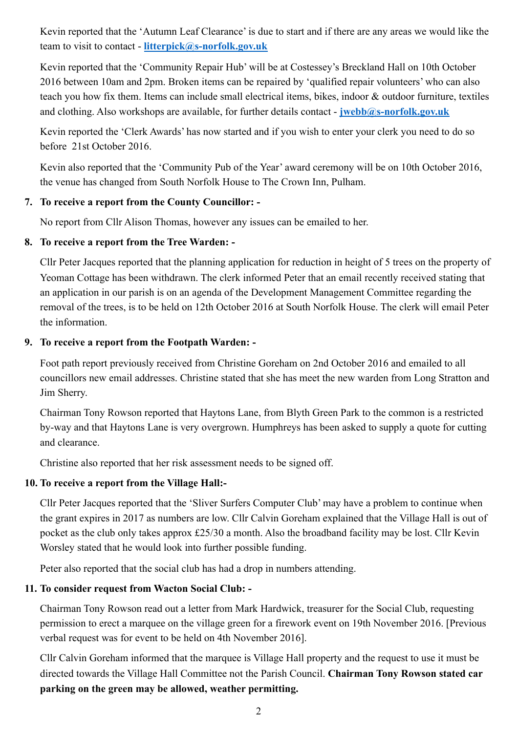Kevin reported that the 'Autumn Leaf Clearance' is due to start and if there are any areas we would like the team to visit to contact - **[litterpick@s-norfolk.gov.uk](mailto:litterpick@s-norfolk.gov.uk)**

 Kevin reported that the 'Community Repair Hub' will be at Costessey's Breckland Hall on 10th October 2016 between 10am and 2pm. Broken items can be repaired by 'qualified repair volunteers' who can also teach you how fix them. Items can include small electrical items, bikes, indoor & outdoor furniture, textiles and clothing. Also workshops are available, for further details contact - *[jwebb@s-norfolk.gov.uk](mailto:jwebb@s-norfolk.gov.uk?subject=)* 

Kevin reported the 'Clerk Awards' has now started and if you wish to enter your clerk you need to do so before 21st October 2016.

Kevin also reported that the 'Community Pub of the Year' award ceremony will be on 10th October 2016, the venue has changed from South Norfolk House to The Crown Inn, Pulham.

#### **7. To receive a report from the County Councillor: -**

No report from Cllr Alison Thomas, however any issues can be emailed to her.

### **8. To receive a report from the Tree Warden: -**

Cllr Peter Jacques reported that the planning application for reduction in height of 5 trees on the property of Yeoman Cottage has been withdrawn. The clerk informed Peter that an email recently received stating that an application in our parish is on an agenda of the Development Management Committee regarding the removal of the trees, is to be held on 12th October 2016 at South Norfolk House. The clerk will email Peter the information.

### **9. To receive a report from the Footpath Warden: -**

 Foot path report previously received from Christine Goreham on 2nd October 2016 and emailed to all councillors new email addresses. Christine stated that she has meet the new warden from Long Stratton and Jim Sherry.

 Chairman Tony Rowson reported that Haytons Lane, from Blyth Green Park to the common is a restricted by-way and that Haytons Lane is very overgrown. Humphreys has been asked to supply a quote for cutting and clearance.

Christine also reported that her risk assessment needs to be signed off.

#### **10. To receive a report from the Village Hall:-**

Cllr Peter Jacques reported that the 'Sliver Surfers Computer Club' may have a problem to continue when the grant expires in 2017 as numbers are low. Cllr Calvin Goreham explained that the Village Hall is out of pocket as the club only takes approx £25/30 a month. Also the broadband facility may be lost. Cllr Kevin Worsley stated that he would look into further possible funding.

Peter also reported that the social club has had a drop in numbers attending.

### **11. To consider request from Wacton Social Club: -**

Chairman Tony Rowson read out a letter from Mark Hardwick, treasurer for the Social Club, requesting permission to erect a marquee on the village green for a firework event on 19th November 2016. [Previous verbal request was for event to be held on 4th November 2016].

 Cllr Calvin Goreham informed that the marquee is Village Hall property and the request to use it must be directed towards the Village Hall Committee not the Parish Council. **Chairman Tony Rowson stated car parking on the green may be allowed, weather permitting.**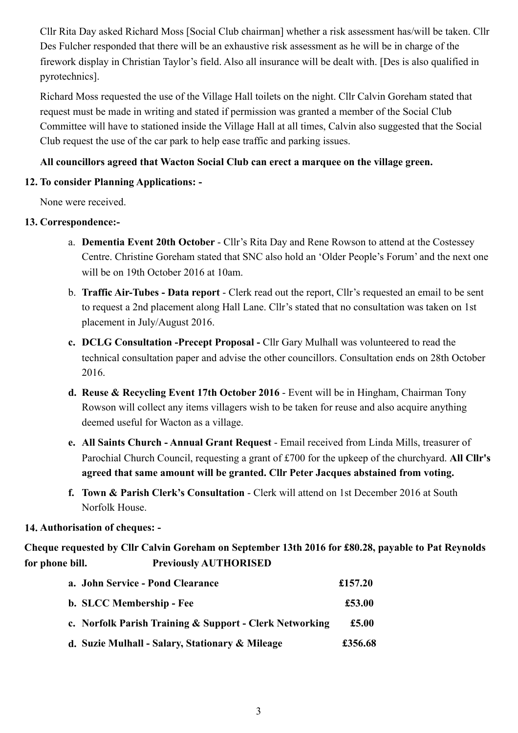Cllr Rita Day asked Richard Moss [Social Club chairman] whether a risk assessment has/will be taken. Cllr Des Fulcher responded that there will be an exhaustive risk assessment as he will be in charge of the firework display in Christian Taylor's field. Also all insurance will be dealt with. [Des is also qualified in pyrotechnics].

 Richard Moss requested the use of the Village Hall toilets on the night. Cllr Calvin Goreham stated that request must be made in writing and stated if permission was granted a member of the Social Club Committee will have to stationed inside the Village Hall at all times, Calvin also suggested that the Social Club request the use of the car park to help ease traffic and parking issues.

### **All councillors agreed that Wacton Social Club can erect a marquee on the village green.**

## **12. To consider Planning Applications: -**

None were received.

## **13. Correspondence:-**

- a. **Dementia Event 20th October**  Cllr's Rita Day and Rene Rowson to attend at the Costessey Centre. Christine Goreham stated that SNC also hold an 'Older People's Forum' and the next one will be on 19th October 2016 at 10am.
- b. **Traffic Air-Tubes Data report** Clerk read out the report, Cllr's requested an email to be sent to request a 2nd placement along Hall Lane. Cllr's stated that no consultation was taken on 1st placement in July/August 2016.
- **c. DCLG Consultation -Precept Proposal** Cllr Gary Mulhall was volunteered to read the technical consultation paper and advise the other councillors. Consultation ends on 28th October 2016.
- **d. Reuse & Recycling Event 17th October 2016** Event will be in Hingham, Chairman Tony Rowson will collect any items villagers wish to be taken for reuse and also acquire anything deemed useful for Wacton as a village.
- **e. All Saints Church Annual Grant Request** Email received from Linda Mills, treasurer of Parochial Church Council, requesting a grant of £700 for the upkeep of the churchyard. **All Cllr's agreed that same amount will be granted. Cllr Peter Jacques abstained from voting.**
- **f. Town & Parish Clerk's Consultation** Clerk will attend on 1st December 2016 at South Norfolk House.

## **14. Authorisation of cheques: -**

**Cheque requested by Cllr Calvin Goreham on September 13th 2016 for £80.28, payable to Pat Reynolds for phone bill. Previously AUTHORISED** 

| a. John Service - Pond Clearance                        | £157.20        |
|---------------------------------------------------------|----------------|
| b. SLCC Membership - Fee                                | £53.00         |
| c. Norfolk Parish Training & Support - Clerk Networking | $\pounds$ 5.00 |
| d. Suzie Mulhall - Salary, Stationary & Mileage         | £356.68        |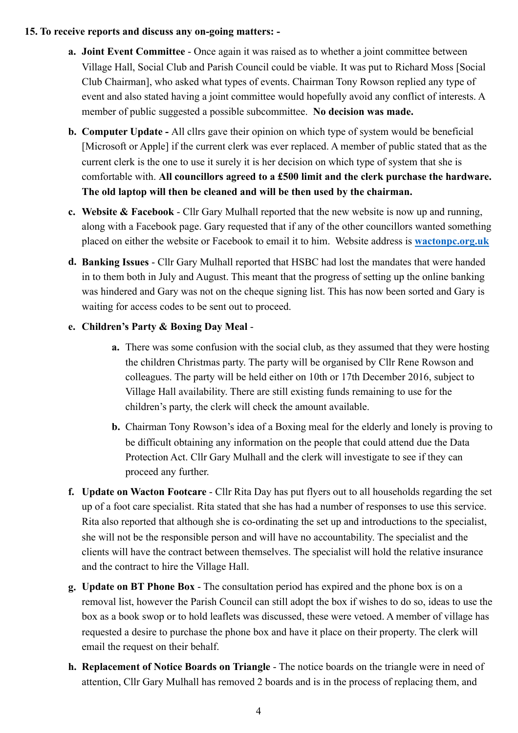#### **15. To receive reports and discuss any on-going matters: -**

- **a. Joint Event Committee**  Once again it was raised as to whether a joint committee between Village Hall, Social Club and Parish Council could be viable. It was put to Richard Moss [Social Club Chairman], who asked what types of events. Chairman Tony Rowson replied any type of event and also stated having a joint committee would hopefully avoid any conflict of interests. A member of public suggested a possible subcommittee. **No decision was made.**
- **b. Computer Update** All cllrs gave their opinion on which type of system would be beneficial [Microsoft or Apple] if the current clerk was ever replaced. A member of public stated that as the current clerk is the one to use it surely it is her decision on which type of system that she is comfortable with. **All councillors agreed to a £500 limit and the clerk purchase the hardware. The old laptop will then be cleaned and will be then used by the chairman.**
- **c. Website & Facebook**  Cllr Gary Mulhall reported that the new website is now up and running, along with a Facebook page. Gary requested that if any of the other councillors wanted something placed on either the website or Facebook to email it to him. Website address is **[wactonpc.org.uk](http://wactonpc.org.uk)**
- **d. Banking Issues**  Cllr Gary Mulhall reported that HSBC had lost the mandates that were handed in to them both in July and August. This meant that the progress of setting up the online banking was hindered and Gary was not on the cheque signing list. This has now been sorted and Gary is waiting for access codes to be sent out to proceed.

### **e. Children's Party & Boxing Day Meal** -

- **a.** There was some confusion with the social club, as they assumed that they were hosting the children Christmas party. The party will be organised by Cllr Rene Rowson and colleagues. The party will be held either on 10th or 17th December 2016, subject to Village Hall availability. There are still existing funds remaining to use for the children's party, the clerk will check the amount available.
- **b.** Chairman Tony Rowson's idea of a Boxing meal for the elderly and lonely is proving to be difficult obtaining any information on the people that could attend due the Data Protection Act. Cllr Gary Mulhall and the clerk will investigate to see if they can proceed any further.
- **f. Update on Wacton Footcare**  Cllr Rita Day has put flyers out to all households regarding the set up of a foot care specialist. Rita stated that she has had a number of responses to use this service. Rita also reported that although she is co-ordinating the set up and introductions to the specialist, she will not be the responsible person and will have no accountability. The specialist and the clients will have the contract between themselves. The specialist will hold the relative insurance and the contract to hire the Village Hall.
- **g. Update on BT Phone Box**  The consultation period has expired and the phone box is on a removal list, however the Parish Council can still adopt the box if wishes to do so, ideas to use the box as a book swop or to hold leaflets was discussed, these were vetoed. A member of village has requested a desire to purchase the phone box and have it place on their property. The clerk will email the request on their behalf.
- **h. Replacement of Notice Boards on Triangle**  The notice boards on the triangle were in need of attention, Cllr Gary Mulhall has removed 2 boards and is in the process of replacing them, and